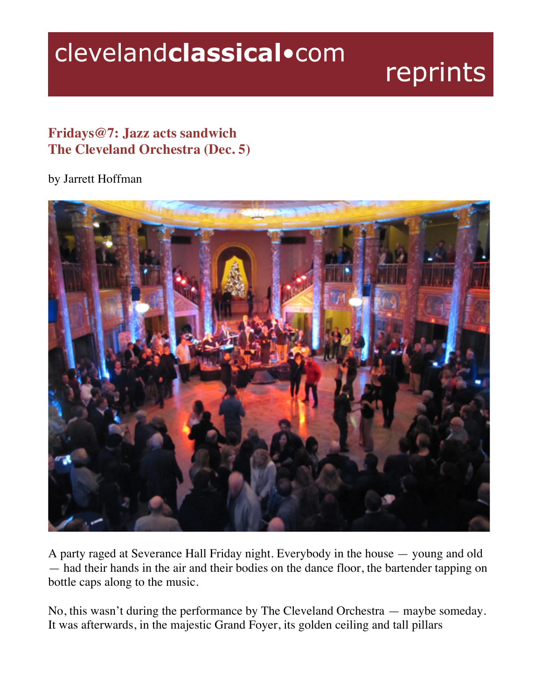## clevelandclassical.com

## reprints

## **Fridays@7: Jazz acts sandwich The Cleveland Orchestra (Dec. 5)**

## by Jarrett Hoffman



A party raged at Severance Hall Friday night. Everybody in the house — young and old — had their hands in the air and their bodies on the dance floor, the bartender tapping on bottle caps along to the music.

No, this wasn't during the performance by The Cleveland Orchestra — maybe someday. It was afterwards, in the majestic Grand Foyer, its golden ceiling and tall pillars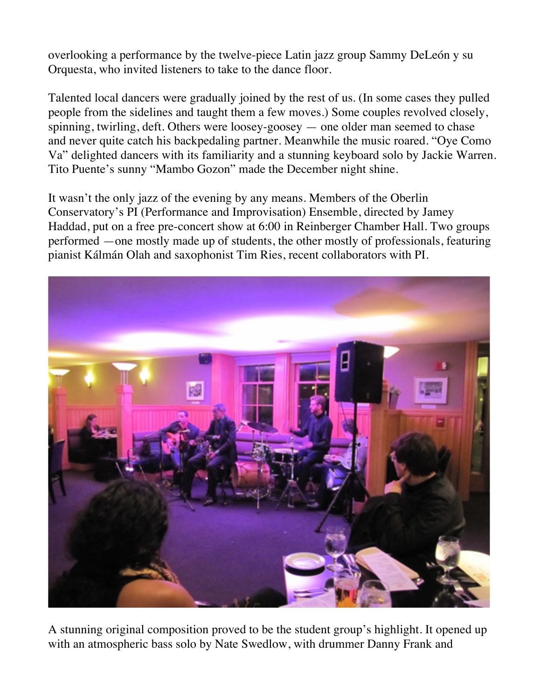overlooking a performance by the twelve-piece Latin jazz group Sammy DeLeón y su Orquesta, who invited listeners to take to the dance floor.

Talented local dancers were gradually joined by the rest of us. (In some cases they pulled people from the sidelines and taught them a few moves.) Some couples revolved closely, spinning, twirling, deft. Others were loosey-goosey — one older man seemed to chase and never quite catch his backpedaling partner. Meanwhile the music roared. "Oye Como Va" delighted dancers with its familiarity and a stunning keyboard solo by Jackie Warren. Tito Puente's sunny "Mambo Gozon" made the December night shine.

It wasn't the only jazz of the evening by any means. Members of the Oberlin Conservatory's PI (Performance and Improvisation) Ensemble, directed by Jamey Haddad, put on a free pre-concert show at 6:00 in Reinberger Chamber Hall. Two groups performed —one mostly made up of students, the other mostly of professionals, featuring pianist Kálmán Olah and saxophonist Tim Ries, recent collaborators with PI.



A stunning original composition proved to be the student group's highlight. It opened up with an atmospheric bass solo by Nate Swedlow, with drummer Danny Frank and